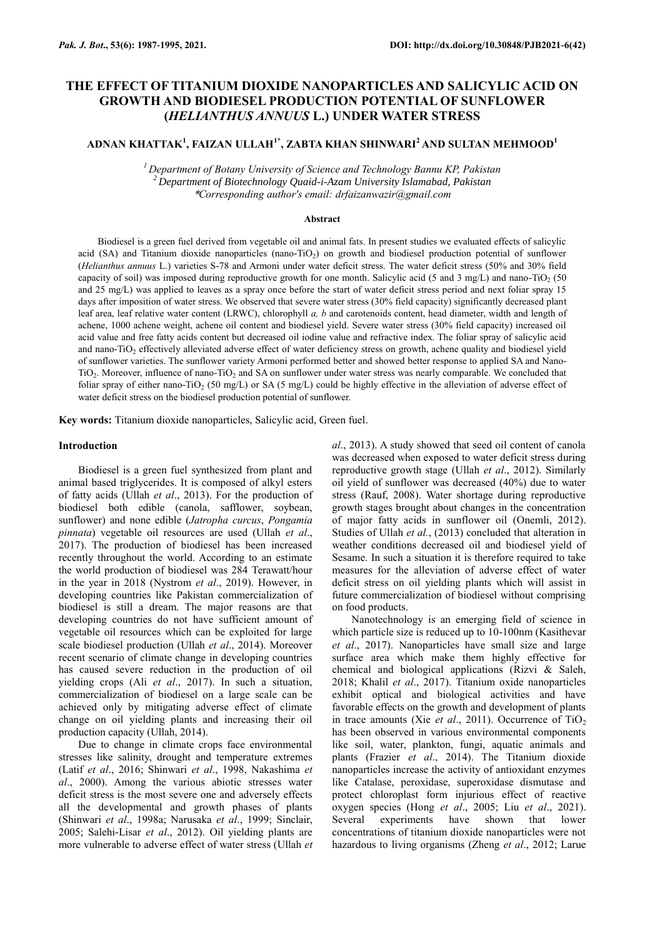# **THE EFFECT OF TITANIUM DIOXIDE NANOPARTICLES AND SALICYLIC ACID ON GROWTH AND BIODIESEL PRODUCTION POTENTIAL OF SUNFLOWER (***HELIANTHUS ANNUUS* **L.) UNDER WATER STRESS**

# **ADNAN KHATTAK<sup>1</sup> , FAIZAN ULLAH1\* , ZABTA KHAN SHINWARI<sup>2</sup> AND SULTAN MEHMOOD<sup>1</sup>**

*<sup>1</sup>Department of Botany University of Science and Technology Bannu KP, Pakistan <sup>2</sup>Department of Biotechnology Quaid-i-Azam University Islamabad, Pakistan* \**Corresponding author's email: drfaizanwazir@gmail.com*

#### **Abstract**

Biodiesel is a green fuel derived from vegetable oil and animal fats. In present studies we evaluated effects of salicylic acid (SA) and Titanium dioxide nanoparticles (nano-TiO<sub>2</sub>) on growth and biodiesel production potential of sunflower (*Helianthus annuus* L.) varieties S-78 and Armoni under water deficit stress. The water deficit stress (50% and 30% field capacity of soil) was imposed during reproductive growth for one month. Salicylic acid (5 and 3 mg/L) and nano-TiO<sub>2</sub> (50 and 25 mg/L) was applied to leaves as a spray once before the start of water deficit stress period and next foliar spray 15 days after imposition of water stress. We observed that severe water stress (30% field capacity) significantly decreased plant leaf area, leaf relative water content (LRWC), chlorophyll *a, b* and carotenoids content, head diameter, width and length of achene, 1000 achene weight, achene oil content and biodiesel yield. Severe water stress (30% field capacity) increased oil acid value and free fatty acids content but decreased oil iodine value and refractive index. The foliar spray of salicylic acid and nano-TiO<sub>2</sub> effectively alleviated adverse effect of water deficiency stress on growth, achene quality and biodiesel yield of sunflower varieties. The sunflower variety Armoni performed better and showed better response to applied SA and Nano-TiO<sub>2</sub>. Moreover, influence of nano-TiO<sub>2</sub> and SA on sunflower under water stress was nearly comparable. We concluded that foliar spray of either nano-TiO<sub>2</sub> (50 mg/L) or SA (5 mg/L) could be highly effective in the alleviation of adverse effect of water deficit stress on the biodiesel production potential of sunflower.

**Key words:** Titanium dioxide nanoparticles, Salicylic acid, Green fuel.

## **Introduction**

Biodiesel is a green fuel synthesized from plant and animal based triglycerides. It is composed of alkyl esters of fatty acids (Ullah *et al*., 2013). For the production of biodiesel both edible (canola, safflower, soybean, sunflower) and none edible (*Jatropha curcus*, *Pongamia pinnata*) vegetable oil resources are used (Ullah *et al*., 2017). The production of biodiesel has been increased recently throughout the world. According to an estimate the world production of biodiesel was 284 Terawatt/hour in the year in 2018 (Nystrom *et al*., 2019). However, in developing countries like Pakistan commercialization of biodiesel is still a dream. The major reasons are that developing countries do not have sufficient amount of vegetable oil resources which can be exploited for large scale biodiesel production (Ullah *et al*., 2014). Moreover recent scenario of climate change in developing countries has caused severe reduction in the production of oil yielding crops (Ali *et al*., 2017). In such a situation, commercialization of biodiesel on a large scale can be achieved only by mitigating adverse effect of climate change on oil yielding plants and increasing their oil production capacity (Ullah, 2014).

Due to change in climate crops face environmental stresses like salinity, drought and temperature extremes (Latif *et al*., 2016; Shinwari *et al*., 1998, Nakashima *et al*., 2000). Among the various abiotic stresses water deficit stress is the most severe one and adversely effects all the developmental and growth phases of plants (Shinwari *et al*., 1998a; Narusaka *et al*., 1999; Sinclair, 2005; Salehi-Lisar *et al*., 2012). Oil yielding plants are more vulnerable to adverse effect of water stress (Ullah *et*  *al*., 2013). A study showed that seed oil content of canola was decreased when exposed to water deficit stress during reproductive growth stage (Ullah *et al*., 2012). Similarly oil yield of sunflower was decreased (40%) due to water stress (Rauf, 2008). Water shortage during reproductive growth stages brought about changes in the concentration of major fatty acids in sunflower oil (Onemli, 2012). Studies of Ullah *et al.*, (2013) concluded that alteration in weather conditions decreased oil and biodiesel yield of Sesame. In such a situation it is therefore required to take measures for the alleviation of adverse effect of water deficit stress on oil yielding plants which will assist in future commercialization of biodiesel without comprising on food products.

Nanotechnology is an emerging field of science in which particle size is reduced up to 10-100nm (Kasithevar *et al*., 2017). Nanoparticles have small size and large surface area which make them highly effective for chemical and biological applications (Rizvi & Saleh, 2018; [Khalil](http://www.tandfonline.com/author/Khalil%2C+Ali+Talha) *et al*., 2017). Titanium oxide nanoparticles exhibit optical and biological activities and have favorable effects on the growth and development of plants in trace amounts (Xie *et al.*, 2011). Occurrence of  $TiO<sub>2</sub>$ has been observed in various environmental components like soil, water, plankton, fungi, aquatic animals and plants (Frazier *et al*., 2014). The Titanium dioxide nanoparticles increase the activity of antioxidant enzymes like Catalase, peroxidase, superoxidase dismutase and protect chloroplast form injurious effect of reactive oxygen species (Hong *et al*., 2005; Liu *et al*., 2021). Several experiments have shown that lower concentrations of titanium dioxide nanoparticles were not hazardous to living organisms (Zheng *et al*., 2012; Larue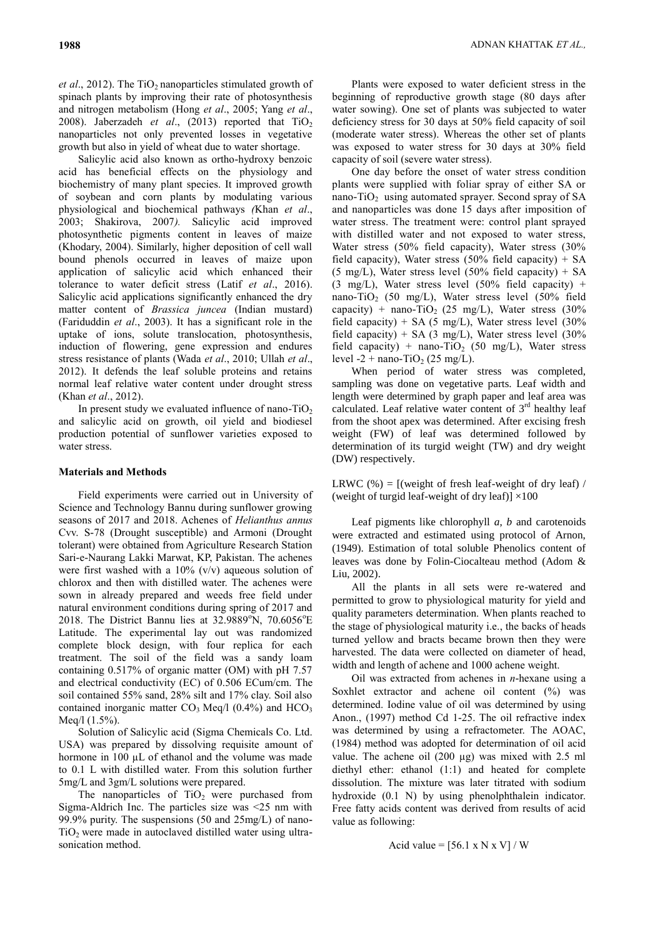*et al.*, 2012). The TiO<sub>2</sub> nanoparticles stimulated growth of spinach plants by improving their rate of photosynthesis and nitrogen metabolism (Hong *et al*., 2005; Yang *et al*., 2008). Jaberzadeh *et al.*, (2013) reported that  $TiO<sub>2</sub>$ nanoparticles not only prevented losses in vegetative growth but also in yield of wheat due to water shortage.

Salicylic acid also known as ortho-hydroxy benzoic acid has beneficial effects on the physiology and biochemistry of many plant species. It improved growth of soybean and corn plants by modulating various physiological and biochemical pathways *(*Khan *et al*., 2003; Shakirova, 2007*).* Salicylic acid improved photosynthetic pigments content in leaves of maize (Khodary, 2004). Similarly, higher deposition of cell wall bound phenols occurred in leaves of maize upon application of salicylic acid which enhanced their tolerance to water deficit stress (Latif *et al*., 2016). Salicylic acid applications significantly enhanced the dry matter content of *Brassica juncea* (Indian mustard) (Fariduddin *et al*., 2003). It has a significant role in the uptake of ions, solute translocation, photosynthesis, induction of flowering, gene expression and endures stress resistance of plants (Wada *et al*., 2010; Ullah *et al*., 2012). It defends the leaf soluble proteins and retains normal leaf relative water content under drought stress (Khan *et al*., 2012).

In present study we evaluated influence of nano- $TiO<sub>2</sub>$ and salicylic acid on growth, oil yield and biodiesel production potential of sunflower varieties exposed to water stress.

# **Materials and Methods**

Field experiments were carried out in University of Science and Technology Bannu during sunflower growing seasons of 2017 and 2018. Achenes of *Helianthus annus* Cvv. S-78 (Drought susceptible) and Armoni (Drought tolerant) were obtained from Agriculture Research Station Sari-e-Naurang Lakki Marwat, KP, Pakistan. The achenes were first washed with a  $10\%$  (v/v) aqueous solution of chlorox and then with distilled water. The achenes were sown in already prepared and weeds free field under natural environment conditions during spring of 2017 and 2018. The District Bannu lies at 32.9889°N, 70.6056°E Latitude. The experimental lay out was randomized complete block design, with four replica for each treatment. The soil of the field was a sandy loam containing 0.517% of organic matter (OM) with pH 7.57 and electrical conductivity (EC) of 0.506 ECum/cm. The soil contained 55% sand, 28% silt and 17% clay. Soil also contained inorganic matter  $CO<sub>3</sub>$  Meq/l (0.4%) and HCO<sub>3</sub> Meq/l (1.5%).

Solution of Salicylic acid (Sigma Chemicals Co. Ltd. USA) was prepared by dissolving requisite amount of hormone in 100 µL of ethanol and the volume was made to 0.1 L with distilled water. From this solution further 5mg/L and 3gm/L solutions were prepared.

The nanoparticles of  $TiO<sub>2</sub>$  were purchased from Sigma-Aldrich Inc. The particles size was <25 nm with 99.9% purity. The suspensions (50 and 25mg/L) of nano**-** $TiO<sub>2</sub>$  were made in autoclaved distilled water using ultrasonication method.

Plants were exposed to water deficient stress in the beginning of reproductive growth stage (80 days after water sowing). One set of plants was subjected to water deficiency stress for 30 days at 50% field capacity of soil (moderate water stress). Whereas the other set of plants was exposed to water stress for 30 days at 30% field capacity of soil (severe water stress).

One day before the onset of water stress condition plants were supplied with foliar spray of either SA or nano-TiO<sub>2</sub> using automated sprayer. Second spray of SA and nanoparticles was done 15 days after imposition of water stress. The treatment were: control plant sprayed with distilled water and not exposed to water stress, Water stress (50% field capacity), Water stress (30% field capacity), Water stress  $(50\%$  field capacity) + SA (5 mg/L), Water stress level (50% field capacity) + SA (3 mg/L), Water stress level (50% field capacity) + nano-TiO<sub>2</sub> (50 mg/L), Water stress level (50% field capacity) + nano-TiO<sub>2</sub> (25 mg/L), Water stress (30%) field capacity) + SA (5 mg/L), Water stress level  $(30\%$ field capacity) + SA (3 mg/L), Water stress level  $(30\%$ field capacity) + nano-TiO<sub>2</sub> (50 mg/L), Water stress level -2 + nano-TiO<sub>2</sub> (25 mg/L).

When period of water stress was completed, sampling was done on vegetative parts. Leaf width and length were determined by graph paper and leaf area was calculated. Leaf relative water content of  $3<sup>rd</sup>$  healthy leaf from the shoot apex was determined. After excising fresh weight (FW) of leaf was determined followed by determination of its turgid weight (TW) and dry weight (DW) respectively.

LRWC  $%$  = [(weight of fresh leaf-weight of dry leaf) / (weight of turgid leaf-weight of dry leaf)]  $\times$ 100

Leaf pigments like chlorophyll *a*, *b* and carotenoids were extracted and estimated using protocol of Arnon, (1949). Estimation of total soluble Phenolics content of leaves was done by Folin-Ciocalteau method (Adom & Liu, 2002).

All the plants in all sets were re-watered and permitted to grow to physiological maturity for yield and quality parameters determination. When plants reached to the stage of physiological maturity i.e., the backs of heads turned yellow and bracts became brown then they were harvested. The data were collected on diameter of head, width and length of achene and 1000 achene weight.

Oil was extracted from achenes in *n*-hexane using a Soxhlet extractor and achene oil content (%) was determined. Iodine value of oil was determined by using Anon., (1997) method Cd 1-25. The oil refractive index was determined by using a refractometer. The AOAC, (1984) method was adopted for determination of oil acid value. The achene oil (200 µg) was mixed with 2.5 ml diethyl ether: ethanol (1:1) and heated for complete dissolution. The mixture was later titrated with sodium hydroxide (0.1 N) by using phenolphthalein indicator. Free fatty acids content was derived from results of acid value as following:

Acid value = 
$$
[56.1 \times N \times V] / W
$$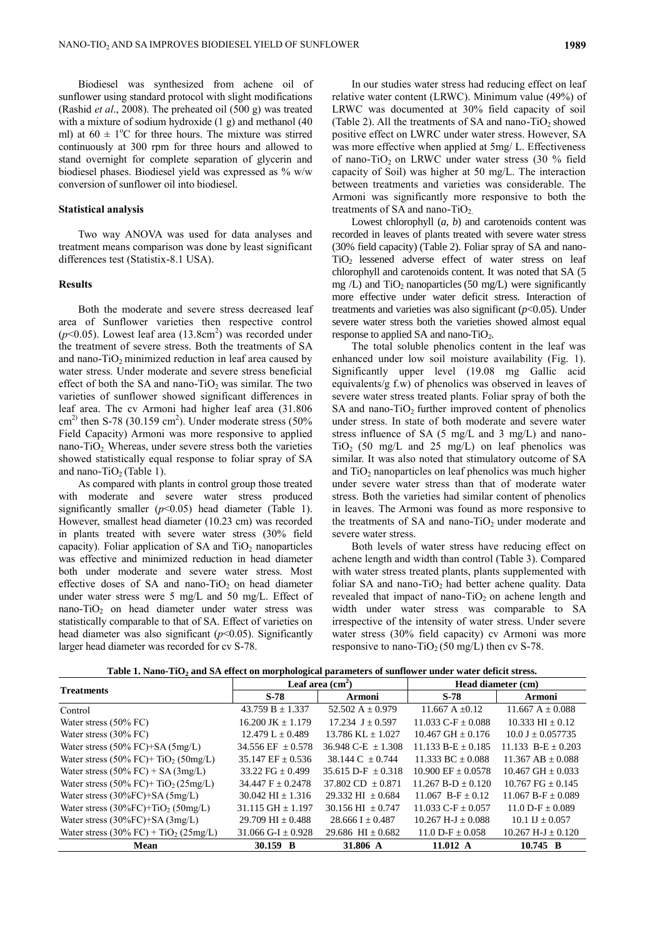Biodiesel was synthesized from achene oil of sunflower using standard protocol with slight modifications (Rashid *et al*., 2008). The preheated oil (500 g) was treated with a mixture of sodium hydroxide (1 g) and methanol (40 ml) at  $60 \pm 1$ <sup>o</sup>C for three hours. The mixture was stirred continuously at 300 rpm for three hours and allowed to stand overnight for complete separation of glycerin and biodiesel phases. Biodiesel yield was expressed as % w/w conversion of sunflower oil into biodiesel.

# **Statistical analysis**

Two way ANOVA was used for data analyses and treatment means comparison was done by least significant differences test (Statistix-8.1 USA).

# **Results**

Both the moderate and severe stress decreased leaf area of Sunflower varieties then respective control  $(p<0.05)$ . Lowest leaf area  $(13.8 \text{cm}^2)$  was recorded under the treatment of severe stress. Both the treatments of SA and nano- $TiO<sub>2</sub>$  minimized reduction in leaf area caused by water stress. Under moderate and severe stress beneficial effect of both the SA and nano-TiO<sub>2</sub> was similar. The two varieties of sunflower showed significant differences in leaf area. The cv Armoni had higher leaf area (31.806 cm<sup>2)</sup> then S-78 (30.159 cm<sup>2</sup>). Under moderate stress (50% Field Capacity) Armoni was more responsive to applied nano-TiO<sub>2</sub>. Whereas, under severe stress both the varieties showed statistically equal response to foliar spray of SA and nano-TiO<sub>2</sub> (Table 1).

As compared with plants in control group those treated with moderate and severe water stress produced significantly smaller  $(p<0.05)$  head diameter (Table 1). However, smallest head diameter (10.23 cm) was recorded in plants treated with severe water stress (30% field capacity). Foliar application of SA and  $TiO<sub>2</sub>$  nanoparticles was effective and minimized reduction in head diameter both under moderate and severe water stress. Most effective doses of SA and nano-TiO<sub>2</sub> on head diameter under water stress were 5 mg/L and 50 mg/L. Effect of nano-TiO<sub>2</sub> on head diameter under water stress was statistically comparable to that of SA. Effect of varieties on head diameter was also significant ( $p$ <0.05). Significantly larger head diameter was recorded for cv S-78.

In our studies water stress had reducing effect on leaf relative water content (LRWC). Minimum value (49%) of LRWC was documented at 30% field capacity of soil (Table 2). All the treatments of SA and nano-TiO<sub>2</sub> showed positive effect on LWRC under water stress. However, SA was more effective when applied at 5mg/ L. Effectiveness of nano-TiO<sub>2</sub> on LRWC under water stress  $(30 \%$  field capacity of Soil) was higher at 50 mg/L. The interaction between treatments and varieties was considerable. The Armoni was significantly more responsive to both the treatments of SA and nano-TiO<sub>2.</sub>

Lowest chlorophyll (*a, b*) and carotenoids content was recorded in leaves of plants treated with severe water stress (30% field capacity) (Table 2). Foliar spray of SA and nano-TiO<sub>2</sub> lessened adverse effect of water stress on leaf chlorophyll and carotenoids content. It was noted that SA (5 mg  $/L$ ) and TiO<sub>2</sub> nanoparticles (50 mg $/L$ ) were significantly more effective under water deficit stress. Interaction of treatments and varieties was also significant (*p*<0.05). Under severe water stress both the varieties showed almost equal response to applied SA and nano-TiO<sub>2</sub>.

The total soluble phenolics content in the leaf was enhanced under low soil moisture availability (Fig. 1). Significantly upper level (19.08 mg Gallic acid equivalents/g f.w) of phenolics was observed in leaves of severe water stress treated plants. Foliar spray of both the SA and nano- $TiO<sub>2</sub>$  further improved content of phenolics under stress. In state of both moderate and severe water stress influence of SA (5 mg/L and 3 mg/L) and nano-TiO<sub>2</sub> (50 mg/L and 25 mg/L) on leaf phenolics was similar. It was also noted that stimulatory outcome of SA and  $TiO<sub>2</sub>$  nanoparticles on leaf phenolics was much higher under severe water stress than that of moderate water stress. Both the varieties had similar content of phenolics in leaves. The Armoni was found as more responsive to the treatments of SA and nano-TiO<sub>2</sub> under moderate and severe water stress.

Both levels of water stress have reducing effect on achene length and width than control (Table 3). Compared with water stress treated plants, plants supplemented with foliar SA and nano-TiO<sub>2</sub> had better achene quality. Data revealed that impact of nano-TiO<sub>2</sub> on achene length and width under water stress was comparable to SA irrespective of the intensity of water stress. Under severe water stress (30% field capacity) cv Armoni was more responsive to nano-TiO<sub>2</sub> (50 mg/L) then cv S-78.

|  | Table 1. Nano-TiO <sub>2</sub> and SA effect on morphological parameters of sunflower under water deficit stress. |
|--|-------------------------------------------------------------------------------------------------------------------|
|--|-------------------------------------------------------------------------------------------------------------------|

| <b>Treatments</b>                                         | o                       | Leaf area $(cm2)$           |                          | Head diameter (cm)          |
|-----------------------------------------------------------|-------------------------|-----------------------------|--------------------------|-----------------------------|
|                                                           | S-78                    | Armoni                      | S-78                     | <b>Armoni</b>               |
| Control                                                   | 43.759 B $\pm$ 1.337    | 52.502 A $\pm$ 0.979        | 11.667 A $\pm$ 0.12      | $11.667 A \pm 0.088$        |
| Water stress $(50\% \, \text{FC})$                        | 16.200 JK $\pm$ 1.179   | $17.234$ J + 0.597          | 11.033 C-F $+$ 0.088     | $10.333 \text{ HI} + 0.12$  |
| Water stress $(30\% \, \text{FC})$                        | $12.479 L \pm 0.489$    | $13.786$ KL $+ 1.027$       | $10.467$ GH $+ 0.176$    | $10.0 \text{ J} + 0.057735$ |
| Water stress $(50\%$ FC $)+$ SA $(5mg/L)$                 | 34.556 EF $\pm$ 0.578   | $36.948$ C-E + 1.308        | $11.133 B-E + 0.185$     | 11.133 $B-E + 0.203$        |
| Water stress $(50\%$ FC $)+$ TiO <sub>2</sub> $(50mg/L)$  | 35.147 EF $\pm$ 0.536   | $38.144 \text{ C} + 0.744$  | $11.333$ BC $+0.088$     | $11.367$ AB $+$ 0.088       |
| Water stress $(50\%$ FC) + SA $(3mg/L)$                   | 33.22 FG $\pm$ 0.499    | $35.615$ D-F $+ 0.318$      | $10.900$ EF $+ 0.0578$   | $10.467$ GH $+ 0.033$       |
| Water stress $(50\%$ FC $)+$ TiO <sub>2</sub> $(25mg/L)$  | $34.447 F + 0.2478$     | $37.802$ CD $+0.871$        | $11.267 B-D + 0.120$     | $10.767 \text{ FG} + 0.145$ |
| Water stress $(30\%$ FC $)+$ SA $(5mg/L)$                 | $30.042$ HI + 1.316     | $29.332 \text{ HI} + 0.684$ | $11.067$ B-F + 0.12      | $11.067 B-F + 0.089$        |
| Water stress $(30\%$ FC $)+$ TiO <sub>2</sub> $(50$ mg/L) | $31.115$ GH $\pm$ 1.197 | $30.156$ HI $+0.747$        | 11.033 C-F $\pm$ 0.057   | $11.0 D-F + 0.089$          |
| Water stress $(30\%$ FC $)+$ SA $(3mg/L)$                 | 29.709 HI $\pm$ 0.488   | $28.666$ I $\pm$ 0.487      | $10.267$ H-J $\pm$ 0.088 | 10.1 IJ $\pm$ 0.057         |
| Water stress $(30\%$ FC) + TiO <sub>2</sub> $(25mg/L)$    | 31.066 G-I $\pm$ 0.928  | 29.686 HI $\pm$ 0.682       | 11.0 D-F $\pm$ 0.058     | $10.267$ H-J $\pm$ 0.120    |
| Mean                                                      | 30.159 B                | 31.806 A                    | 11.012 A                 | $10.745 \text{ B}$          |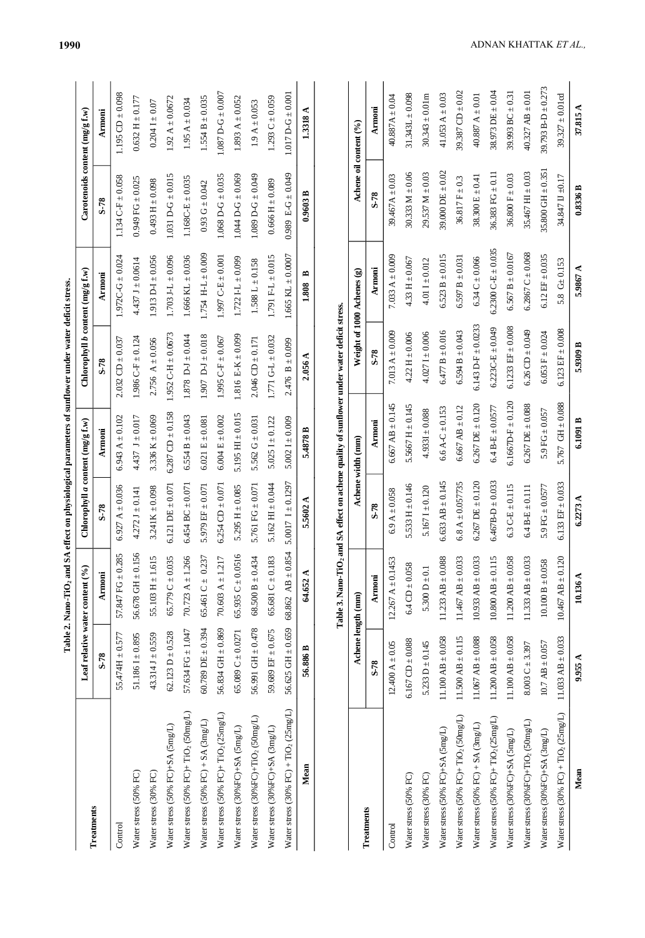|                                                             |                                                 |                                             |                                  |                        | Table 2. Nano-TiO <sub>2</sub> and SA effect on physiological parameters of sunflower under water deficit stress. |                         |                                    |                             |
|-------------------------------------------------------------|-------------------------------------------------|---------------------------------------------|----------------------------------|------------------------|-------------------------------------------------------------------------------------------------------------------|-------------------------|------------------------------------|-----------------------------|
|                                                             |                                                 | Leaf relative water content (%)             | Chlorophyll a content (mg/g f.w) |                        | Chlorophyll $b$ content $(\text{mg/g f.w})$                                                                       |                         | $Carot$ enoids content $(mg/gf.w)$ |                             |
| Treatments                                                  | S-78                                            | Armoni                                      | S-78                             | <b>Armoni</b>          | S-78                                                                                                              | <b>Armoni</b>           | S-78                               | Armoni                      |
| Control                                                     | $55.474H \pm 0.577$                             | 57.847 FG $\pm$ 0.285                       | 6.927 A $\pm$ 0.036              | 6.943 A $\pm$ 0.102    | $2.032$ CD $\pm 0.037$                                                                                            | $1.972C - G \pm 0.024$  | $1.134 \text{ C-F} \pm 0.058$      | $1.195$ CD $\pm 0.098$      |
| Water stress (50% FC)                                       | $51.1861 \pm 0.895$                             | $56.678$ GH $\pm$ 0.156                     | $4.272 \text{ J} \pm 0.141$      | 4.437 J $\pm$ 0.017    | $1.986$ C-F $\pm$ 0.124                                                                                           | $4.437 J \pm 0.0614$    | $0.949$ FG $\pm 0.025$             | $0.632 \text{ H} \pm 0.177$ |
| Water stress (30% FC)                                       | $43.314 \text{ J} \pm 0.559$                    | 5<br>55.103 H $\pm$ 1.61                    | $3.241K \pm 0.098$               | 3.336 K $\pm$ 0.069    | 2.756 A $\pm$ 0.056                                                                                               | $1.913 D-I + 0.056$     | $0.493 H \pm 0.098$                | $0.2041 + 0.07$             |
| Water stress (50% FC)+SA (5mg/L)                            | $62.123 D \pm 0.528$                            | 65.779 C $\pm$ 0.035                        | $6.121$ DE $\pm 0.071$           | $6.287$ CD $\pm$ 0.158 | $1.952 \text{ C-H} \pm 0.0673$                                                                                    | $1.703$ J-L $\pm$ 0.096 | $1.031 D-G \pm 0.015$              | $1.92 A \pm 0.0672$         |
| Water stress (50% FC)+TiO <sub>2</sub> (50mg/L)             | 57.634 FG $\pm$ 1.047 70.723 A $\pm$ 1.266      |                                             | $6.454$ BC $\pm$ 0.071           | $6.554 B \pm 0.043$    | 1.878 $D - J \pm 0.044$                                                                                           | $1.666$ KL $\pm$ 0.036  | $1.168C - E \pm 0.035$             | $1.95 A \pm 0.034$          |
| Water stress $(50\% \text{ FC}) + SA \cdot (3 \text{mg/L})$ | $60.789$ DE $\pm 0.394$                         | 65.461 C $\pm$ 0.237                        | 5.979 EF $\pm$ 0.071             | $6.021 E \pm 0.081$    | $1.907$ D-J $\pm 0.018$                                                                                           | $1.754$ H-L $\pm 0.009$ | $0.93 \text{ G} \pm 0.042$         | $1.554 B \pm 0.035$         |
| Water stress (50% FC)+ TiO <sub>2</sub> (25mg/L)            | 56.834 GH $\pm$ 0.869 70.603 A $\pm$ 1.217      |                                             | $6.254$ CD $\pm$ 0.071           | $6.004 E \pm 0.002$    | 1.995 C-F $\pm$ 0.067                                                                                             | $1.997$ C-E $\pm$ 0.001 | $1.068$ D-G $\pm$ 0.035            | $1.087$ D-G $\pm$ 0.007     |
| Water stress (30%FC)+SA (5mg/L)                             |                                                 | 65.089 C ± 0.0271 65.935 C ± 0.0516         | 5.295 H $\pm$ 0.085              | 5.195 HI $\pm$ 0.015   | 1.816 E-K $\pm$ 0.099                                                                                             | $1.722$ I-L $\pm$ 0.099 | $1.044 D - G \pm 0.069$            | $1.893 A \pm 0.052$         |
| Water stress (30%FC)+TiO <sub>2</sub> (50mg/L)              | $56.991 \text{ GHz}$ 0.478 68.500 B $\pm$ 0.434 |                                             | 5.761 FG $\pm$ 0.071             | 5.562 $G \pm 0.031$    | $2.046$ CD $\pm$ 0.171                                                                                            | $1.588 L \pm 0.158$     | $1.089$ D-G $\pm 0.049$            | $1.9 A \pm 0.053$           |
| Water stress (30%FC)+SA (3mg/L)                             | 59.689 EF $\pm 0.675$                           | $65.681 C \pm 0.183$                        | $5.162 \text{ H} \pm 0.044$      | $5.0251 \pm 0.122$     | $1.771 G-L \pm 0.032$                                                                                             | $1.791 F-L \pm 0.015$   | $0.666 H \pm 0.089$                | $1.293C \pm 0.059$          |
| Water stress (30% FC) + TiO <sub>2</sub> (25mg/L)           |                                                 | 56.625 GH $\pm$ 0.659 68.862 AB $\pm$ 0.854 | 5.0017 $I \pm 0.1297$            | 5.002 I $\pm$ 0.009    | $2.476 B \pm 0.099$                                                                                               | $1.665$ KL $\pm 0.0007$ | $0.989 E-G \pm 0.049$              | $1.017$ D-G $\pm$ 0.001     |
| Mean                                                        | 56.886 B                                        | 64.652 A                                    | 5.5602 A                         | 5.4878 B               | 2.056 A                                                                                                           | 1.808 B                 | 0.9603B                            | 1.3318 A                    |
|                                                             |                                                 |                                             |                                  |                        |                                                                                                                   |                         |                                    |                             |

Table 3. Nano-TiO, and SA effect on achene quality of sunflower under water deficit stress. **Table 3. Nano-TiO2 and SA effect on achene quality of sunflower under water deficit stress.**

|                                                                  |                             | expressive to the property of the contract of the property of sections in the contract of the contract of the contract of the contract of the contract of the contract of the contract of the contract of the contract of the |                              | Achene width (mm)       |                            |                                |                                |                            |
|------------------------------------------------------------------|-----------------------------|-------------------------------------------------------------------------------------------------------------------------------------------------------------------------------------------------------------------------------|------------------------------|-------------------------|----------------------------|--------------------------------|--------------------------------|----------------------------|
| Treatments                                                       |                             | Achene length (mm)                                                                                                                                                                                                            |                              |                         |                            | Weight of 1000 Achenes (g)     |                                | Achene oil content $(°6)$  |
|                                                                  | S-78                        | Armoni                                                                                                                                                                                                                        | S-78                         | Armoni                  | S-78                       | Armoni                         | S-78                           | Armoni                     |
| Control                                                          | $12.400 A \pm 0.05$         | $12.267 A \pm 0.1453$                                                                                                                                                                                                         | $6.9 A \pm 0.058$            | $6.667$ AB $\pm$ 0.145  | 7.013 A $\pm$ 0.009        | 7.033 A $\pm$ 0.009            | $39.467A + 0.03$               | $40.887A + 0.04$           |
| Water stress (50% FC)                                            | $6.167$ CD $\pm 0.088$      | $6.4$ CD $\pm$ 0.058                                                                                                                                                                                                          | 5.533 H $\pm$ 0.146          | 5.5667 H $\pm$ 0.145    | $4.22 \text{ H} \pm 0.006$ | $4.33 \text{ H} \pm 0.067$     | $30.333 M \pm 0.06$            | $31.343L \pm 0.098$        |
| Water stress (30% FC)                                            | 5.233 $D \pm 0.145$         | 5.300 $D \pm 0.1$                                                                                                                                                                                                             | $5.1671 \pm 0.120$           | $4.9331 \pm 0.088$      | $4.0271 \pm 0.006$         | $4.011 \pm 0.012$              | $29.537$ M $\pm$ 0.03          | $30.343 \pm 0.01 \text{m}$ |
| Water stress (50% FC)+SA (5mg/L)                                 | $11.100$ AB $\pm$ 0.058     | $11.233$ AB $\pm 0.088$                                                                                                                                                                                                       | $6.633$ AB $\pm$ 0.145       | $6.6 A-C \pm 0.153$     | $6.477 B \pm 0.016$        | $6.523 B \pm 0.015$            | 39.000 DE $\pm$ 0.02           | 41.053 A $\pm$ 0.03        |
| Water stress (50% FC)+TiO <sub>2</sub> (50mg/L)                  | 11.500 AB $\pm$ 0.115       | $11.467$ AB $\pm 0.033$                                                                                                                                                                                                       | $6.8 A \pm 0.057735$         | $6.667$ AB $\pm$ 0.12   | $6.594 B \pm 0.043$        | $6.597 B \pm 0.031$            | $36.817 \, \mathrm{F} \pm 0.3$ | 39.387 CD $\pm 0.02$       |
| Water stress $(50\% \text{ FC}) + SA(3\text{mg/L})$              | $11.067$ AB $\pm 0.088$     | $10.933$ AB $\pm 0.033$                                                                                                                                                                                                       | $6.267$ DE $\pm 0.120$       | $6.267$ DE $\pm$ 0.120  | $6.143$ D-F $\pm$ 0.0233   | $6.34 \text{ C} \pm 0.066$     | $38.300 E \pm 0.41$            | 40.887 A $\pm$ 0.01        |
| Water stress (50% FC)+ TiO <sub>2</sub> (25mg/L)                 | 11.200 AB $\pm$ 0.058       | $10.800$ AB $\pm 0.1$                                                                                                                                                                                                         | $6.467B-D \pm 0.033$         | $6.4 B - E \pm 0.0577$  | $6.223C - E \pm 0.049$     | $6.2300 \text{ C-E} \pm 0.035$ | $36.383$ FG $\pm$ 0.11         | $38.973$ DE $\pm 0.04$     |
| Water stress (30%FC)+SA (5mg/L)                                  | $11.100$ AB $\pm$ 0.058     | $11.200$ AB $\pm 0.058$                                                                                                                                                                                                       | $6.3 \text{ C-E} \pm 0.115$  | $6.1667D - F \pm 0.120$ | $6.1233$ EF $\pm 0.008$    | $6.567 B \pm 0.0167$           | $36.800 F \pm 0.03$            | 39.993 BC $\pm$ 0.31       |
| Water stress (30%FC)+TiO <sub>2</sub> (50mg/L)                   | $8.003 \text{ C} \pm 3.397$ | $11.333$ AB $\pm 0.033$                                                                                                                                                                                                       | $6.4 B - E \pm 0.111$        | $6.267$ DE $\pm 0.088$  | $6.26$ CD $\pm 0.049$      | $6.2867C \pm 0.068$            | 35.467 HI $\pm$ 0.03           | $40.327$ AB $\pm$ 0.01     |
| Water stress (30%FC)+SA (3mg/L)                                  | $10.7$ AB $\pm$ 0.057       | $10.100 B \pm 0.058$                                                                                                                                                                                                          | 5.9 FG $\pm$ 0.0577          | 5.9 FG $\pm$ 0.057      | $6.053 F \pm 0.024$        | $6.12$ EF $\pm 0.035$          | $35,800$ GH $\pm$ 0.351        | 39.793 B-D $\pm$ 0.273     |
| Water stress $(30\% \text{ FC}) + \text{TiO}_2 (25 \text{mg/L})$ | 11.033 AB $\pm$ 0.033       | $10.467$ AB $\pm 0.120$                                                                                                                                                                                                       | $6.133 \text{ EF} \pm 0.033$ | 5.767 GH $\pm$ 0.088    | $6.123$ EF $\pm 0.008$     | 5.8 G± 0.153                   | 34.847 II ±0.17                | $39.327 \pm 0.01$ cd       |
| Mean                                                             | 9.955 A                     | $10.136\,\mathrm{\AA}$                                                                                                                                                                                                        | 6.2273A                      | 6.1091B                 | 5.9309 B                   | 5.9867 A                       | 0.8336 B                       | 37.815 A                   |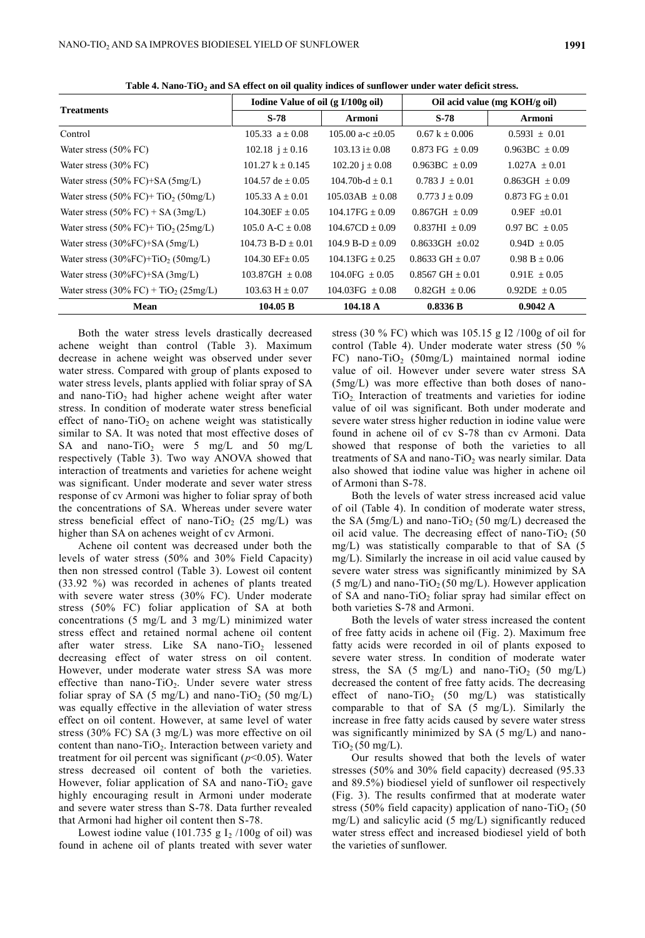| <b>Treatments</b>                                                | Iodine Value of oil (g I/100g oil) |                     |                           | Oil acid value (mg KOH/g oil) |
|------------------------------------------------------------------|------------------------------------|---------------------|---------------------------|-------------------------------|
|                                                                  | $S-78$                             | Armoni              | $S-78$                    | <b>Armoni</b>                 |
| Control                                                          | $105.33 \text{ a} + 0.08$          | 105.00 a-c $+0.05$  | $0.67 k + 0.006$          | $0.5931 \pm 0.01$             |
| Water stress $(50\% \, \text{FC})$                               | 102.18 $i \pm 0.16$                | $103.13 + 0.08$     | $0.873 \text{ FG} + 0.09$ | $0.963BC + 0.09$              |
| Water stress $(30\% \, \text{FC})$                               | $101.27 k \pm 0.145$               | $102.20 i \pm 0.08$ | $0.963BC \pm 0.09$        | $1.027A \pm 0.01$             |
| Water stress $(50\%$ FC $)+$ SA $(5mg/L)$                        | $104.57$ de $+0.05$                | $104.70b-d + 0.1$   | $0.783 J + 0.01$          | $0.863$ GH $\pm 0.09$         |
| Water stress $(50\% \text{ FC}) + \text{TiO}_2 (50 \text{mg/L})$ | $105.33 A + 0.01$                  | $105.03AB + 0.08$   | $0.773 J + 0.09$          | $0.873$ FG $+0.01$            |
| Water stress $(50\%$ FC) + SA $(3mg/L)$                          | $104.30EF + 0.05$                  | $104.17FG + 0.09$   | $0.867 \text{GH} + 0.09$  | $0.9EF +0.01$                 |
| Water stress $(50\%$ FC $)+$ TiO <sub>2</sub> $(25mg/L)$         | 105.0 A-C $\pm$ 0.08               | $104.67CD \pm 0.09$ | $0.837HI + 0.09$          | $0.97$ BC $+0.05$             |
| Water stress $(30\%FC)+SA(5mg/L)$                                | $104.73 B-D + 0.01$                | $104.9 B-D + 0.09$  | $0.8633$ GH $+0.02$       | $0.94D \pm 0.05$              |
| Water stress $(30\%$ FC $)+$ TiO <sub>2</sub> $(50$ mg/L $)$     | $104.30$ EF + $0.05$               | $104.13FG + 0.25$   | $0.8633$ GH $+0.07$       | $0.98 B + 0.06$               |
| Water stress $(30\%FC)+SA(3mg/L)$                                | $103.87 \text{GH } \pm 0.08$       | $104.0FG + 0.05$    | $0.8567$ GH $+0.01$       | $0.91E + 0.05$                |
| Water stress $(30\%$ FC) + TiO <sub>2</sub> $(25mg/L)$           | $103.63 \text{ H} \pm 0.07$        | $104.03FG + 0.08$   | $0.82$ GH $+0.06$         | $0.92DE \pm 0.05$             |
| <b>Mean</b>                                                      | 104.05 B                           | 104.18 A            | 0.8336 B                  | 0.9042 A                      |

**Table 4. Nano-TiO<sup>2</sup> and SA effect on oil quality indices of sunflower under water deficit stress.**

Both the water stress levels drastically decreased achene weight than control (Table 3). Maximum decrease in achene weight was observed under sever water stress. Compared with group of plants exposed to water stress levels, plants applied with foliar spray of SA and nano-TiO<sub>2</sub> had higher achene weight after water stress. In condition of moderate water stress beneficial effect of nano-TiO<sub>2</sub> on achene weight was statistically similar to SA. It was noted that most effective doses of SA and nano-TiO<sub>2</sub> were 5 mg/L and 50 mg/L respectively (Table 3). Two way ANOVA showed that interaction of treatments and varieties for achene weight was significant. Under moderate and sever water stress response of cv Armoni was higher to foliar spray of both the concentrations of SA. Whereas under severe water stress beneficial effect of nano-TiO<sub>2</sub> (25 mg/L) was higher than SA on achenes weight of cv Armoni.

Achene oil content was decreased under both the levels of water stress (50% and 30% Field Capacity) then non stressed control (Table 3). Lowest oil content (33.92 %) was recorded in achenes of plants treated with severe water stress (30% FC). Under moderate stress (50% FC) foliar application of SA at both concentrations (5 mg/L and 3 mg/L) minimized water stress effect and retained normal achene oil content after water stress. Like SA nano-TiO<sub>2</sub> lessened decreasing effect of water stress on oil content. However, under moderate water stress SA was more effective than nano-TiO<sub>2</sub>. Under severe water stress foliar spray of SA (5 mg/L) and nano-TiO<sub>2</sub> (50 mg/L) was equally effective in the alleviation of water stress effect on oil content. However, at same level of water stress (30% FC) SA (3 mg/L) was more effective on oil content than nano-TiO<sub>2</sub>. Interaction between variety and treatment for oil percent was significant (*p*<0.05). Water stress decreased oil content of both the varieties. However, foliar application of SA and nano-TiO<sub>2</sub> gave highly encouraging result in Armoni under moderate and severe water stress than S-78. Data further revealed that Armoni had higher oil content then S-78.

Lowest iodine value (101.735 g  $I_2$  /100g of oil) was found in achene oil of plants treated with sever water

stress (30 % FC) which was 105.15 g I2 /100g of oil for control (Table 4). Under moderate water stress (50 % FC) nano-TiO<sub>2</sub> (50mg/L) maintained normal iodine value of oil. However under severe water stress SA (5mg/L) was more effective than both doses of nano- $TiO<sub>2</sub>$  Interaction of treatments and varieties for iodine value of oil was significant. Both under moderate and severe water stress higher reduction in iodine value were found in achene oil of cv S-78 than cv Armoni. Data showed that response of both the varieties to all treatments of SA and nano-TiO<sub>2</sub> was nearly similar. Data also showed that iodine value was higher in achene oil of Armoni than S-78.

Both the levels of water stress increased acid value of oil (Table 4). In condition of moderate water stress, the SA ( $5mg/L$ ) and nano-TiO<sub>2</sub> (50 mg/L) decreased the oil acid value. The decreasing effect of nano-TiO<sub>2</sub> (50) mg/L) was statistically comparable to that of SA (5 mg/L). Similarly the increase in oil acid value caused by severe water stress was significantly minimized by SA (5 mg/L) and nano-TiO<sub>2</sub> (50 mg/L). However application of SA and nano-TiO<sub>2</sub> foliar spray had similar effect on both varieties S-78 and Armoni.

Both the levels of water stress increased the content of free fatty acids in achene oil (Fig. 2). Maximum free fatty acids were recorded in oil of plants exposed to severe water stress. In condition of moderate water stress, the SA  $(5 \text{ mg/L})$  and nano-TiO<sub>2</sub>  $(50 \text{ mg/L})$ decreased the content of free fatty acids. The decreasing effect of nano-TiO<sub>2</sub> (50 mg/L) was statistically comparable to that of SA (5 mg/L). Similarly the increase in free fatty acids caused by severe water stress was significantly minimized by SA (5 mg/L) and nano- $TiO<sub>2</sub>$  (50 mg/L).

Our results showed that both the levels of water stresses (50% and 30% field capacity) decreased (95.33 and 89.5%) biodiesel yield of sunflower oil respectively (Fig. 3). The results confirmed that at moderate water stress (50% field capacity) application of nano-TiO<sub>2</sub> (50 mg/L) and salicylic acid (5 mg/L) significantly reduced water stress effect and increased biodiesel yield of both the varieties of sunflower.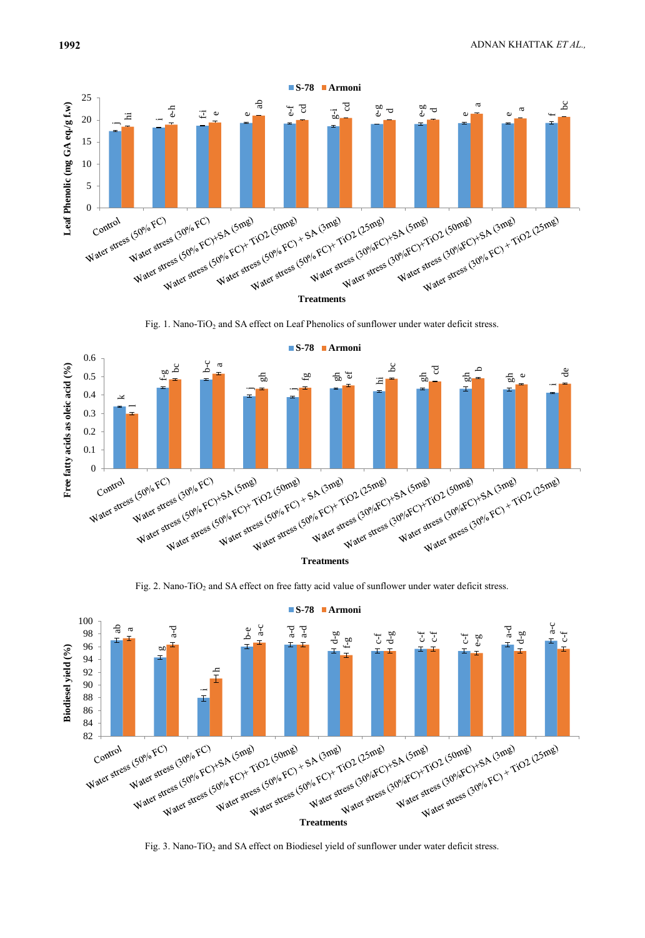

Fig. 1. Nano-TiO<sub>2</sub> and SA effect on Leaf Phenolics of sunflower under water deficit stress.



Fig. 2. Nano-TiO<sub>2</sub> and SA effect on free fatty acid value of sunflower under water deficit stress.



Fig. 3. Nano-TiO<sub>2</sub> and SA effect on Biodiesel yield of sunflower under water deficit stress.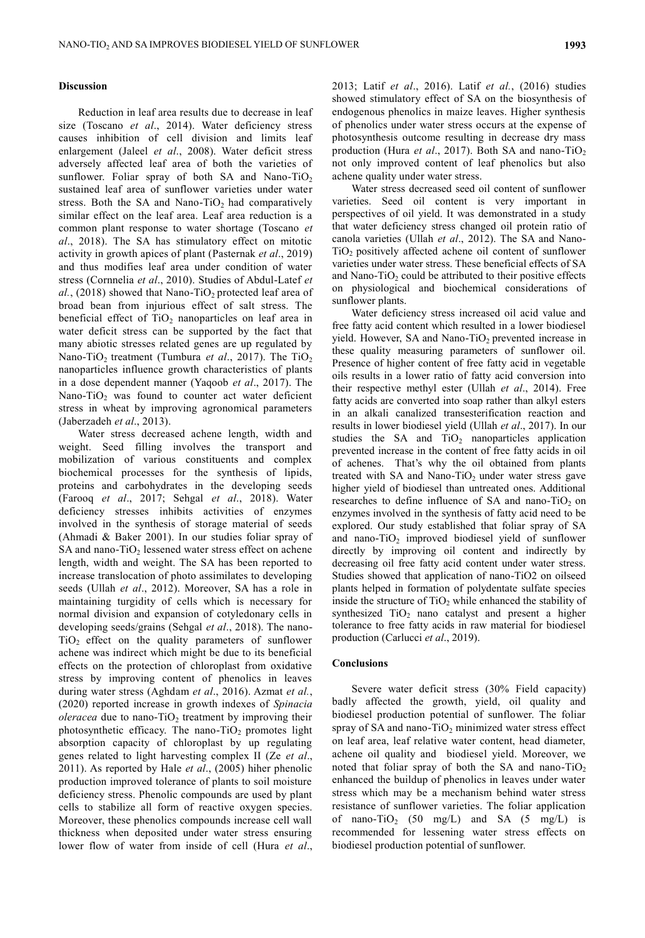#### **Discussion**

Reduction in leaf area results due to decrease in leaf size (Toscano *et al*., 2014). Water deficiency stress causes inhibition of cell division and limits leaf enlargement (Jaleel *et al*., 2008). Water deficit stress adversely affected leaf area of both the varieties of sunflower. Foliar spray of both SA and Nano-TiO<sub>2</sub> sustained leaf area of sunflower varieties under water stress. Both the SA and Nano-TiO<sub>2</sub> had comparatively similar effect on the leaf area. Leaf area reduction is a common plant response to water shortage (Toscano *et al*., 2018). The SA has stimulatory effect on mitotic activity in growth apices of plant (Pasternak *et al*., 2019) and thus modifies leaf area under condition of water stress (Cornnelia *et al*., 2010). Studies of Abdul-Latef *et*   $al.$ , (2018) showed that Nano-TiO<sub>2</sub> protected leaf area of broad bean from injurious effect of salt stress. The beneficial effect of  $TiO<sub>2</sub>$  nanoparticles on leaf area in water deficit stress can be supported by the fact that many abiotic stresses related genes are up regulated by Nano-TiO<sub>2</sub> treatment (Tumbura *et al.*, 2017). The TiO<sub>2</sub> nanoparticles influence growth characteristics of plants in a dose dependent manner (Yaqoob *et al*., 2017). The Nano-TiO<sub>2</sub> was found to counter act water deficient stress in wheat by improving agronomical parameters (Jaberzadeh *et al*., 2013).

Water stress decreased achene length, width and weight. Seed filling involves the transport and mobilization of various constituents and complex biochemical processes for the synthesis of lipids, proteins and carbohydrates in the developing seeds (Farooq *et al*., 2017; Sehgal *et al*., 2018). Water deficiency stresses inhibits activities of enzymes involved in the synthesis of storage material of seeds (Ahmadi & Baker 2001). In our studies foliar spray of SA and nano- $TiO<sub>2</sub>$  lessened water stress effect on achene length, width and weight. The SA has been reported to increase translocation of photo assimilates to developing seeds (Ullah *et al*., 2012). Moreover, SA has a role in maintaining turgidity of cells which is necessary for normal division and expansion of cotyledonary cells in developing seeds/grains (Sehgal *et al*., 2018). The nano- $TiO<sub>2</sub>$  effect on the quality parameters of sunflower achene was indirect which might be due to its beneficial effects on the protection of chloroplast from oxidative stress by improving content of phenolics in leaves during water stress (Aghdam *et al*., 2016). Azmat *et al.*, (2020) reported increase in growth indexes of *Spinacia oleracea* due to nano-TiO<sub>2</sub> treatment by improving their photosynthetic efficacy. The nano-TiO<sub>2</sub> promotes light absorption capacity of chloroplast by up regulating genes related to light harvesting complex II (Ze *et al*., 2011). As reported by Hale *et al*., (2005) hiher phenolic production improved tolerance of plants to soil moisture deficiency stress. Phenolic compounds are used by plant cells to stabilize all form of reactive oxygen species. Moreover, these phenolics compounds increase cell wall thickness when deposited under water stress ensuring lower flow of water from inside of cell (Hura *et al*.,

2013; Latif *et al*., 2016). Latif *et al.*, (2016) studies showed stimulatory effect of SA on the biosynthesis of endogenous phenolics in maize leaves. Higher synthesis of phenolics under water stress occurs at the expense of photosynthesis outcome resulting in decrease dry mass production (Hura et al., 2017). Both SA and nano-TiO<sub>2</sub> not only improved content of leaf phenolics but also achene quality under water stress.

Water stress decreased seed oil content of sunflower varieties. Seed oil content is very important in perspectives of oil yield. It was demonstrated in a study that water deficiency stress changed oil protein ratio of canola varieties (Ullah *et al*., 2012). The SA and Nano- $TiO<sub>2</sub>$  positively affected achene oil content of sunflower varieties under water stress. These beneficial effects of SA and Nano-Ti $O_2$  could be attributed to their positive effects on physiological and biochemical considerations of sunflower plants.

Water deficiency stress increased oil acid value and free fatty acid content which resulted in a lower biodiesel yield. However, SA and Nano-TiO<sub>2</sub> prevented increase in these quality measuring parameters of sunflower oil. Presence of higher content of free fatty acid in vegetable oils results in a lower ratio of fatty acid conversion into their respective methyl ester (Ullah *et al*., 2014). Free fatty acids are converted into soap rather than alkyl esters in an alkali canalized transesterification reaction and results in lower biodiesel yield (Ullah *et al*., 2017). In our studies the SA and  $TiO<sub>2</sub>$  nanoparticles application prevented increase in the content of free fatty acids in oil of achenes. That's why the oil obtained from plants treated with SA and Nano-TiO<sub>2</sub> under water stress gave higher yield of biodiesel than untreated ones. Additional researches to define influence of SA and nano-TiO<sub>2</sub> on enzymes involved in the synthesis of fatty acid need to be explored. Our study established that foliar spray of SA and nano-TiO<sub>2</sub> improved biodiesel yield of sunflower directly by improving oil content and indirectly by decreasing oil free fatty acid content under water stress. Studies showed that application of nano-TiO2 on oilseed plants helped in formation of polydentate sulfate species inside the structure of  $TiO<sub>2</sub>$  while enhanced the stability of synthesized  $TiO<sub>2</sub>$  nano catalyst and present a higher tolerance to free fatty acids in raw material for biodiesel production (Carlucci *et al*., 2019).

## **Conclusions**

Severe water deficit stress (30% Field capacity) badly affected the growth, yield, oil quality and biodiesel production potential of sunflower. The foliar spray of SA and nano-TiO<sub>2</sub> minimized water stress effect on leaf area, leaf relative water content, head diameter, achene oil quality and biodiesel yield. Moreover, we noted that foliar spray of both the SA and nano-TiO<sub>2</sub> enhanced the buildup of phenolics in leaves under water stress which may be a mechanism behind water stress resistance of sunflower varieties. The foliar application of nano-TiO<sub>2</sub> (50 mg/L) and SA (5 mg/L) is recommended for lessening water stress effects on biodiesel production potential of sunflower.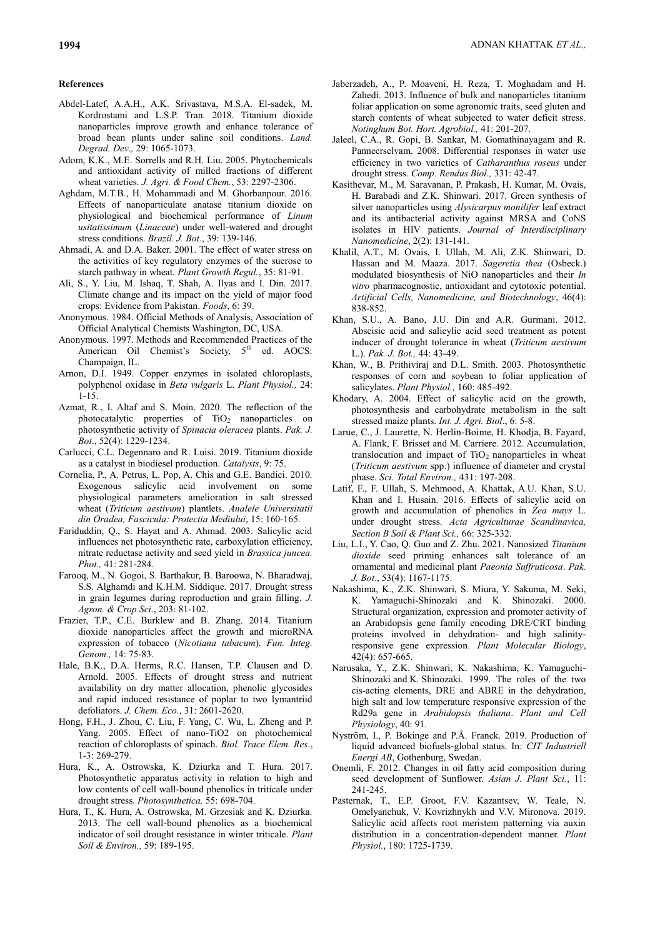#### **References**

- Abdel-Latef, A.A.H., A.K. Srivastava, M.S.A. El-sadek, M. Kordrostami and L.S.P. Tran. 2018. Titanium dioxide nanoparticles improve growth and enhance tolerance of broad bean plants under saline soil conditions. *Land. Degrad. Dev*.*,* 29: 1065-1073.
- Adom, K.K., M.E. Sorrells and R.H. Liu. 2005. Phytochemicals and antioxidant activity of milled fractions of different wheat varieties. *J. Agri. & Food Chem.*, 53: 2297-2306.
- Aghdam, M.T.B., H. Mohammadi and M. Ghorbanpour. 2016. Effects of nanoparticulate anatase titanium dioxide on physiological and biochemical performance of *Linum usitatissimum* (*Linaceae*) under well-watered and drought stress conditions. *Brazil. J. Bot.*, 39: 139-146.
- Ahmadi, A. and D.A. Baker. 2001. The effect of water stress on the activities of key regulatory enzymes of the sucrose to starch pathway in wheat. *Plant Growth Regul.*, 35: 81-91.
- Ali, S., Y. Liu, M. Ishaq, T. Shah, A. Ilyas and I. Din. 2017. Climate change and its impact on the yield of major food crops: Evidence from Pakistan. *Foods*, 6: 39.
- Anonymous. 1984. Official Methods of Analysis, Association of Official Analytical Chemists Washington, DC, USA.
- Anonymous. 1997. Methods and Recommended Practices of the American Oil Chemist's Society, 5<sup>th</sup> ed. AOCS: Champaign, IL.
- Arnon, D.I. 1949. Copper enzymes in isolated chloroplasts, polyphenol oxidase in *Beta vulgaris* L. *Plant Physiol.,* 24: 1-15.
- Azmat, R., I. Altaf and S. Moin. 2020. The reflection of the photocatalytic properties of  $TiO<sub>2</sub>$  nanoparticles on photosynthetic activity of *Spinacia oleracea* plants. *Pak. J. Bot*., 52(4): 1229-1234.
- Carlucci, C.L. Degennaro and R. Luisi. 2019. Titanium dioxide as a catalyst in biodiesel production. *Catalysts*, 9: 75.
- Cornelia, P., A. Petrus, L. Pop, A. Chis and G.E. Bandici. 2010. Exogenous salicylic acid involvement on some physiological parameters amelioration in salt stressed wheat (*Triticum aestivum*) plantlets. *Analele Universitatii din Oradea, Fascicula: Protectia Mediului*, 15: 160-165.
- Fariduddin, Q., S. Hayat and A. Ahmad. 2003. Salicylic acid influences net photosynthetic rate, carboxylation efficiency, nitrate reductase activity and seed yield in *Brassica juncea. Phot.,* 41: 281-284*.*
- Farooq, M., N. Gogoi, S. Barthakur, B. Baroowa, N. Bharadwaj, S.S. Alghamdi and K.H.M. Siddique. 2017. Drought stress in grain legumes during reproduction and grain filling. *J. Agron. & Crop Sci.*, 203: 81-102.
- Frazier, T.P., C.E. Burklew and B. Zhang. 2014. Titanium dioxide nanoparticles affect the growth and microRNA expression of tobacco (*Nicotiana tabacum*). *Fun. Integ. Genom.,* 14: 75-83.
- Hale, B.K., D.A. Herms, R.C. Hansen, T.P. Clausen and D. Arnold. 2005. Effects of drought stress and nutrient availability on dry matter allocation, phenolic glycosides and rapid induced resistance of poplar to two lymantriid defoliators. *J. Chem. Eco.*, 31: 2601-2620.
- Hong, F.H., J. Zhou, C. Liu, F. Yang, C. Wu, L. Zheng and P. Yang. 2005. Effect of nano-TiO2 on photochemical reaction of chloroplasts of spinach. *Biol. Trace Elem. Res*., 1-3: 269-279.
- [Hura,](https://link.springer.com/article/10.1007/s11099-017-0687-2#auth-1) K., A. [Ostrowska,](https://link.springer.com/article/10.1007/s11099-017-0687-2#auth-2) K. [Dziurka](https://link.springer.com/article/10.1007/s11099-017-0687-2#auth-3) and T. [Hura.](https://link.springer.com/article/10.1007/s11099-017-0687-2#auth-4) 2017. Photosynthetic apparatus activity in relation to high and low contents of cell wall-bound phenolics in triticale under drought stress. *[Photosynthetica,](https://link.springer.com/journal/11099)* 55: 698-704.
- Hura, T., K. Hura, A. Ostrowska, M. Grzesiak and K. Dziurka. 2013. The cell wall-bound phenolics as a biochemical indicator of soil drought resistance in winter triticale. *Plant Soil & Environ.,* 59: 189-195.
- Jaberzadeh, A., P. Moaveni, H. Reza, T. Moghadam and H. Zahedi. 2013. Influence of bulk and nanoparticles titanium foliar application on some agronomic traits, seed gluten and starch contents of wheat subjected to water deficit stress. *Notinghum Bot. Hort. Agrobiol.,* 41: 201-207.
- Jaleel, C.A., R. Gopi, B. Sankar, M. Gomathinayagam and R. Panneerselvam. 2008. Differential responses in water use efficiency in two varieties of *Catharanthus roseus* under drought stress. *Comp. Rendus Biol.,* 331: 42-47.
- Kasithevar, M., M. Saravanan, P. Prakash, H. Kumar, M. Ovais, H. Barabadi and Z.K. Shinwari. 2017. Green synthesis of silver nanoparticles using *Alysicarpus monilifer* leaf extract and its antibacterial activity against MRSA and CoNS isolates in HIV patients. *Journal of Interdisciplinary Nanomedicine*, 2(2): 131-141.
- [Khalil,](http://www.tandfonline.com/author/Khalil%2C+Ali+Talha) A.T., [M. Ovais,](http://www.tandfonline.com/author/Ovais%2C+Muhammad) [I. Ullah,](http://www.tandfonline.com/author/Ullah%2C+Ikram) [M. Ali,](http://www.tandfonline.com/author/Ali%2C+Muhammad) [Z.K. Shinwari,](http://www.tandfonline.com/author/Khan+Shinwari%2C+Zabta) D. Hassan and [M. Maaza.](http://www.tandfonline.com/author/Maaza%2C+Malik) 2017. *Sageretia thea* (Osbeck.) modulated biosynthesis of NiO nanoparticles and their *In vitro* pharmacognostic, antioxidant and cytotoxic potential. *Artificial Cells, Nanomedicine, and Biotechnology*, 46(4): 838-852.
- Khan, S.U., A. Bano, J.U. Din and A.R. Gurmani. 2012. Abscisic acid and salicylic acid seed treatment as potent inducer of drought tolerance in wheat (*Triticum aestivum* L.). *Pak. J. Bot.,* 44: 43-49.
- Khan, W., B. Prithiviraj and D.L. Smith. 2003. Photosynthetic responses of corn and soybean to foliar application of salicylates. *Plant Physiol.,* 160: 485-492.
- Khodary, A. 2004. Effect of salicylic acid on the growth, photosynthesis and carbohydrate metabolism in the salt stressed maize plants. *Int. J. Agri. Biol*., 6: 5-8.
- Larue, C., J. Laurette, N. Herlin-Boime, H. Khodja, B. Fayard, A. Flank, F. Brisset and M. Carriere. 2012. Accumulation, translocation and impact of  $TiO<sub>2</sub>$  nanoparticles in wheat (*Triticum aestivum* spp.) influence of diameter and crystal phase. *Sci. Total Environ.,* 431: 197-208.
- Latif, F., F. Ullah, S. Mehmood, A. Khattak, A.U. Khan, S.U. Khan and I. Husain. 2016. Effects of salicylic acid on growth and accumulation of phenolics in *Zea mays* L. under drought stress. *Acta Agriculturae Scandinavica, Section B Soil & Plant Sci.,* 66: 325-332.
- Liu, L.I., Y. Cao, Q. Guo and Z. Zhu. 2021. Nanosized *Titanium dioxide* seed priming enhances salt tolerance of an ornamental and medicinal plant *Paeonia Suffruticosa*. *Pak. J. Bot*., 53(4): 1167-1175.
- Nakashima, K., Z.K. Shinwari, S. Miura, Y. Sakuma, M. Seki, K. Yamaguchi-Shinozaki and K. Shinozaki. 2000. Structural organization, expression and promoter activity of an Arabidopsis gene family encoding DRE/CRT binding proteins involved in dehydration- and high salinityresponsive gene expression. *Plant Molecular Biology*, 42(4): 657-665.
- Narusaka, Y., Z.K. Shinwari, K. Nakashima, K. Yamaguchi-Shinozaki and K. Shinozaki. 1999. [The roles of the two](http://scholar.google.com/citations?view_op=view_citation&hl=en&user=J1IdVRkAAAAJ&pagesize=100&citation_for_view=J1IdVRkAAAAJ:tOudhMTPpwUC)  [cis-acting elements, DRE and ABRE in the dehydration,](http://scholar.google.com/citations?view_op=view_citation&hl=en&user=J1IdVRkAAAAJ&pagesize=100&citation_for_view=J1IdVRkAAAAJ:tOudhMTPpwUC)  [high salt and low temperature responsive expression of the](http://scholar.google.com/citations?view_op=view_citation&hl=en&user=J1IdVRkAAAAJ&pagesize=100&citation_for_view=J1IdVRkAAAAJ:tOudhMTPpwUC)  Rd29a gene in *[Arabidopsis thaliana](http://scholar.google.com/citations?view_op=view_citation&hl=en&user=J1IdVRkAAAAJ&pagesize=100&citation_for_view=J1IdVRkAAAAJ:tOudhMTPpwUC)*. *Plant and Cell Physiology*, 40: 91.
- Nyström, I., P. Bokinge and P.Å. Franck. 2019. Production of liquid advanced biofuels-global status. In: *CIT Industriell Energi AB*, Gothenburg, Swedan.
- Onemli, F. 2012. Changes in oil fatty acid composition during seed development of Sunflower. *Asian J. Plant Sci.*, 11: 241-245.
- Pasternak, T., E.P. Groot, F.V. Kazantsev, W. Teale, N. Omelyanchuk, V. Kovrizhnykh and V.V. Mironova. 2019. Salicylic acid affects root meristem patterning via auxin distribution in a concentration-dependent manner. *Plant Physiol.*, 180: 1725-1739.